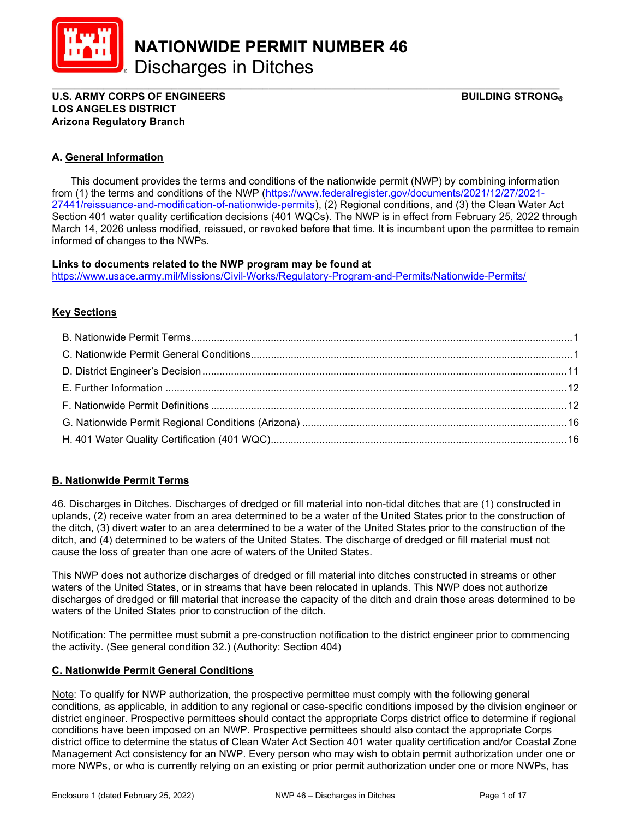

NATIONWIDE PERMIT NUMBER 46 Discharges in Ditches

\_\_\_\_\_\_\_\_\_\_\_\_\_\_\_\_\_\_\_\_\_\_\_\_\_\_\_\_\_\_\_\_\_\_\_\_\_\_\_\_\_\_\_\_\_\_\_\_\_\_\_\_\_\_\_\_\_\_\_\_\_\_\_\_\_\_\_\_\_\_\_\_\_\_\_\_\_\_\_\_\_\_\_\_\_\_\_\_\_ U.S. ARMY CORPS OF ENGINEERS GEET ALL THE STRONG BUILDING STRONG BUILDING STRONG BUILDING STRONG BUILDING STRONG LOS ANGELES DISTRICT Arizona Regulatory Branch

# A. General Information

 This document provides the terms and conditions of the nationwide permit (NWP) by combining information from (1) the terms and conditions of the NWP (https://www.federalregister.gov/documents/2021/12/27/2021- 27441/reissuance-and-modification-of-nationwide-permits), (2) Regional conditions, and (3) the Clean Water Act Section 401 water quality certification decisions (401 WQCs). The NWP is in effect from February 25, 2022 through March 14, 2026 unless modified, reissued, or revoked before that time. It is incumbent upon the permittee to remain informed of changes to the NWPs.

#### Links to documents related to the NWP program may be found at

https://www.usace.army.mil/Missions/Civil-Works/Regulatory-Program-and-Permits/Nationwide-Permits/

# **Key Sections**

# B. Nationwide Permit Terms

46. Discharges in Ditches. Discharges of dredged or fill material into non-tidal ditches that are (1) constructed in uplands, (2) receive water from an area determined to be a water of the United States prior to the construction of the ditch, (3) divert water to an area determined to be a water of the United States prior to the construction of the ditch, and (4) determined to be waters of the United States. The discharge of dredged or fill material must not cause the loss of greater than one acre of waters of the United States.

This NWP does not authorize discharges of dredged or fill material into ditches constructed in streams or other waters of the United States, or in streams that have been relocated in uplands. This NWP does not authorize discharges of dredged or fill material that increase the capacity of the ditch and drain those areas determined to be waters of the United States prior to construction of the ditch.

Notification: The permittee must submit a pre-construction notification to the district engineer prior to commencing the activity. (See general condition 32.) (Authority: Section 404)

# C. Nationwide Permit General Conditions

Note: To qualify for NWP authorization, the prospective permittee must comply with the following general conditions, as applicable, in addition to any regional or case-specific conditions imposed by the division engineer or district engineer. Prospective permittees should contact the appropriate Corps district office to determine if regional conditions have been imposed on an NWP. Prospective permittees should also contact the appropriate Corps district office to determine the status of Clean Water Act Section 401 water quality certification and/or Coastal Zone Management Act consistency for an NWP. Every person who may wish to obtain permit authorization under one or more NWPs, or who is currently relying on an existing or prior permit authorization under one or more NWPs, has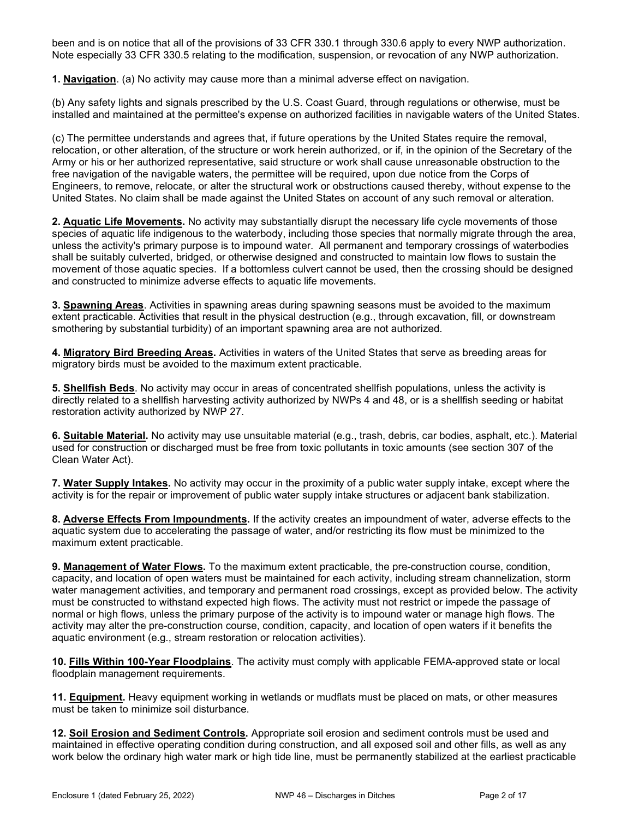been and is on notice that all of the provisions of 33 CFR 330.1 through 330.6 apply to every NWP authorization. Note especially 33 CFR 330.5 relating to the modification, suspension, or revocation of any NWP authorization.

1. Navigation. (a) No activity may cause more than a minimal adverse effect on navigation.

(b) Any safety lights and signals prescribed by the U.S. Coast Guard, through regulations or otherwise, must be installed and maintained at the permittee's expense on authorized facilities in navigable waters of the United States.

(c) The permittee understands and agrees that, if future operations by the United States require the removal, relocation, or other alteration, of the structure or work herein authorized, or if, in the opinion of the Secretary of the Army or his or her authorized representative, said structure or work shall cause unreasonable obstruction to the free navigation of the navigable waters, the permittee will be required, upon due notice from the Corps of Engineers, to remove, relocate, or alter the structural work or obstructions caused thereby, without expense to the United States. No claim shall be made against the United States on account of any such removal or alteration.

2. Aquatic Life Movements. No activity may substantially disrupt the necessary life cycle movements of those species of aquatic life indigenous to the waterbody, including those species that normally migrate through the area, unless the activity's primary purpose is to impound water. All permanent and temporary crossings of waterbodies shall be suitably culverted, bridged, or otherwise designed and constructed to maintain low flows to sustain the movement of those aquatic species. If a bottomless culvert cannot be used, then the crossing should be designed and constructed to minimize adverse effects to aquatic life movements.

**3. Spawning Areas.** Activities in spawning areas during spawning seasons must be avoided to the maximum extent practicable. Activities that result in the physical destruction (e.g., through excavation, fill, or downstream smothering by substantial turbidity) of an important spawning area are not authorized.

4. Migratory Bird Breeding Areas. Activities in waters of the United States that serve as breeding areas for migratory birds must be avoided to the maximum extent practicable.

5. Shellfish Beds. No activity may occur in areas of concentrated shellfish populations, unless the activity is directly related to a shellfish harvesting activity authorized by NWPs 4 and 48, or is a shellfish seeding or habitat restoration activity authorized by NWP 27.

6. Suitable Material. No activity may use unsuitable material (e.g., trash, debris, car bodies, asphalt, etc.). Material used for construction or discharged must be free from toxic pollutants in toxic amounts (see section 307 of the Clean Water Act).

7. Water Supply Intakes. No activity may occur in the proximity of a public water supply intake, except where the activity is for the repair or improvement of public water supply intake structures or adjacent bank stabilization.

8. Adverse Effects From Impoundments. If the activity creates an impoundment of water, adverse effects to the aquatic system due to accelerating the passage of water, and/or restricting its flow must be minimized to the maximum extent practicable.

9. Management of Water Flows. To the maximum extent practicable, the pre-construction course, condition, capacity, and location of open waters must be maintained for each activity, including stream channelization, storm water management activities, and temporary and permanent road crossings, except as provided below. The activity must be constructed to withstand expected high flows. The activity must not restrict or impede the passage of normal or high flows, unless the primary purpose of the activity is to impound water or manage high flows. The activity may alter the pre-construction course, condition, capacity, and location of open waters if it benefits the aquatic environment (e.g., stream restoration or relocation activities).

10. Fills Within 100-Year Floodplains. The activity must comply with applicable FEMA-approved state or local floodplain management requirements.

11. Equipment. Heavy equipment working in wetlands or mudflats must be placed on mats, or other measures must be taken to minimize soil disturbance.

12. Soil Erosion and Sediment Controls. Appropriate soil erosion and sediment controls must be used and maintained in effective operating condition during construction, and all exposed soil and other fills, as well as any work below the ordinary high water mark or high tide line, must be permanently stabilized at the earliest practicable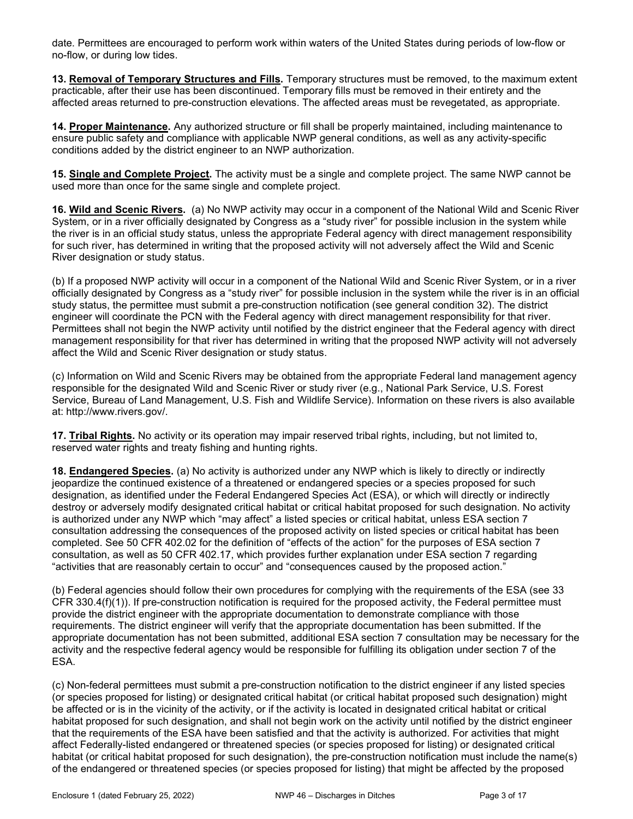date. Permittees are encouraged to perform work within waters of the United States during periods of low-flow or no-flow, or during low tides.

13. Removal of Temporary Structures and Fills. Temporary structures must be removed, to the maximum extent practicable, after their use has been discontinued. Temporary fills must be removed in their entirety and the affected areas returned to pre-construction elevations. The affected areas must be revegetated, as appropriate.

14. Proper Maintenance. Any authorized structure or fill shall be properly maintained, including maintenance to ensure public safety and compliance with applicable NWP general conditions, as well as any activity-specific conditions added by the district engineer to an NWP authorization.

15. Single and Complete Project. The activity must be a single and complete project. The same NWP cannot be used more than once for the same single and complete project.

16. Wild and Scenic Rivers. (a) No NWP activity may occur in a component of the National Wild and Scenic River System, or in a river officially designated by Congress as a "study river" for possible inclusion in the system while the river is in an official study status, unless the appropriate Federal agency with direct management responsibility for such river, has determined in writing that the proposed activity will not adversely affect the Wild and Scenic River designation or study status.

(b) If a proposed NWP activity will occur in a component of the National Wild and Scenic River System, or in a river officially designated by Congress as a "study river" for possible inclusion in the system while the river is in an official study status, the permittee must submit a pre-construction notification (see general condition 32). The district engineer will coordinate the PCN with the Federal agency with direct management responsibility for that river. Permittees shall not begin the NWP activity until notified by the district engineer that the Federal agency with direct management responsibility for that river has determined in writing that the proposed NWP activity will not adversely affect the Wild and Scenic River designation or study status.

(c) Information on Wild and Scenic Rivers may be obtained from the appropriate Federal land management agency responsible for the designated Wild and Scenic River or study river (e.g., National Park Service, U.S. Forest Service, Bureau of Land Management, U.S. Fish and Wildlife Service). Information on these rivers is also available at: http://www.rivers.gov/.

17. Tribal Rights. No activity or its operation may impair reserved tribal rights, including, but not limited to, reserved water rights and treaty fishing and hunting rights.

18. Endangered Species. (a) No activity is authorized under any NWP which is likely to directly or indirectly jeopardize the continued existence of a threatened or endangered species or a species proposed for such designation, as identified under the Federal Endangered Species Act (ESA), or which will directly or indirectly destroy or adversely modify designated critical habitat or critical habitat proposed for such designation. No activity is authorized under any NWP which "may affect" a listed species or critical habitat, unless ESA section 7 consultation addressing the consequences of the proposed activity on listed species or critical habitat has been completed. See 50 CFR 402.02 for the definition of "effects of the action" for the purposes of ESA section 7 consultation, as well as 50 CFR 402.17, which provides further explanation under ESA section 7 regarding "activities that are reasonably certain to occur" and "consequences caused by the proposed action."

(b) Federal agencies should follow their own procedures for complying with the requirements of the ESA (see 33 CFR 330.4(f)(1)). If pre-construction notification is required for the proposed activity, the Federal permittee must provide the district engineer with the appropriate documentation to demonstrate compliance with those requirements. The district engineer will verify that the appropriate documentation has been submitted. If the appropriate documentation has not been submitted, additional ESA section 7 consultation may be necessary for the activity and the respective federal agency would be responsible for fulfilling its obligation under section 7 of the ESA.

(c) Non-federal permittees must submit a pre-construction notification to the district engineer if any listed species (or species proposed for listing) or designated critical habitat (or critical habitat proposed such designation) might be affected or is in the vicinity of the activity, or if the activity is located in designated critical habitat or critical habitat proposed for such designation, and shall not begin work on the activity until notified by the district engineer that the requirements of the ESA have been satisfied and that the activity is authorized. For activities that might affect Federally-listed endangered or threatened species (or species proposed for listing) or designated critical habitat (or critical habitat proposed for such designation), the pre-construction notification must include the name(s) of the endangered or threatened species (or species proposed for listing) that might be affected by the proposed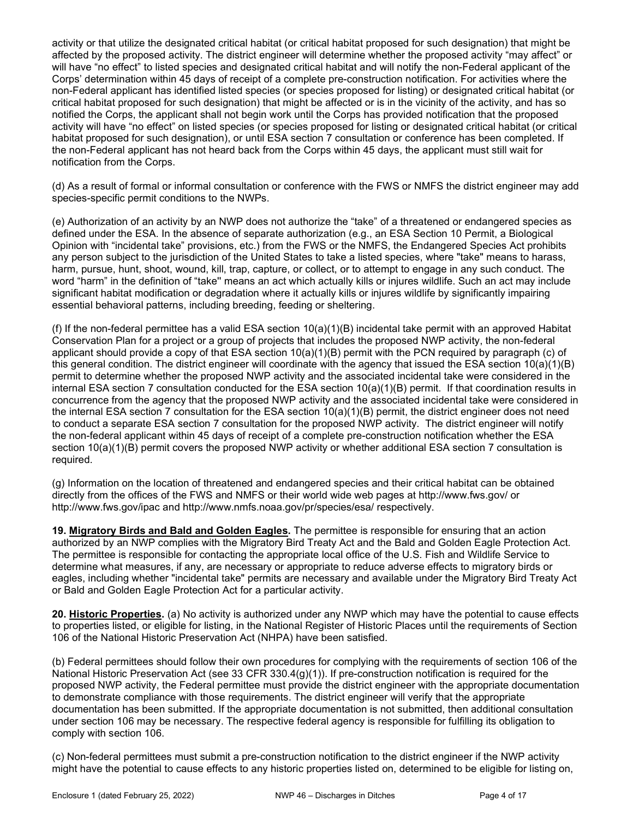activity or that utilize the designated critical habitat (or critical habitat proposed for such designation) that might be affected by the proposed activity. The district engineer will determine whether the proposed activity "may affect" or will have "no effect" to listed species and designated critical habitat and will notify the non-Federal applicant of the Corps' determination within 45 days of receipt of a complete pre-construction notification. For activities where the non-Federal applicant has identified listed species (or species proposed for listing) or designated critical habitat (or critical habitat proposed for such designation) that might be affected or is in the vicinity of the activity, and has so notified the Corps, the applicant shall not begin work until the Corps has provided notification that the proposed activity will have "no effect" on listed species (or species proposed for listing or designated critical habitat (or critical habitat proposed for such designation), or until ESA section 7 consultation or conference has been completed. If the non-Federal applicant has not heard back from the Corps within 45 days, the applicant must still wait for notification from the Corps.

(d) As a result of formal or informal consultation or conference with the FWS or NMFS the district engineer may add species-specific permit conditions to the NWPs.

(e) Authorization of an activity by an NWP does not authorize the "take" of a threatened or endangered species as defined under the ESA. In the absence of separate authorization (e.g., an ESA Section 10 Permit, a Biological Opinion with "incidental take" provisions, etc.) from the FWS or the NMFS, the Endangered Species Act prohibits any person subject to the jurisdiction of the United States to take a listed species, where "take" means to harass, harm, pursue, hunt, shoot, wound, kill, trap, capture, or collect, or to attempt to engage in any such conduct. The word "harm" in the definition of "take'' means an act which actually kills or injures wildlife. Such an act may include significant habitat modification or degradation where it actually kills or injures wildlife by significantly impairing essential behavioral patterns, including breeding, feeding or sheltering.

(f) If the non-federal permittee has a valid ESA section  $10(a)(1)(B)$  incidental take permit with an approved Habitat Conservation Plan for a project or a group of projects that includes the proposed NWP activity, the non-federal applicant should provide a copy of that ESA section  $10(a)(1)(B)$  permit with the PCN required by paragraph (c) of this general condition. The district engineer will coordinate with the agency that issued the ESA section 10(a)(1)(B) permit to determine whether the proposed NWP activity and the associated incidental take were considered in the internal ESA section 7 consultation conducted for the ESA section 10(a)(1)(B) permit. If that coordination results in concurrence from the agency that the proposed NWP activity and the associated incidental take were considered in the internal ESA section 7 consultation for the ESA section 10(a)(1)(B) permit, the district engineer does not need to conduct a separate ESA section 7 consultation for the proposed NWP activity. The district engineer will notify the non-federal applicant within 45 days of receipt of a complete pre-construction notification whether the ESA section 10(a)(1)(B) permit covers the proposed NWP activity or whether additional ESA section 7 consultation is required.

(g) Information on the location of threatened and endangered species and their critical habitat can be obtained directly from the offices of the FWS and NMFS or their world wide web pages at http://www.fws.gov/ or http://www.fws.gov/ipac and http://www.nmfs.noaa.gov/pr/species/esa/ respectively.

19. Migratory Birds and Bald and Golden Eagles. The permittee is responsible for ensuring that an action authorized by an NWP complies with the Migratory Bird Treaty Act and the Bald and Golden Eagle Protection Act. The permittee is responsible for contacting the appropriate local office of the U.S. Fish and Wildlife Service to determine what measures, if any, are necessary or appropriate to reduce adverse effects to migratory birds or eagles, including whether "incidental take" permits are necessary and available under the Migratory Bird Treaty Act or Bald and Golden Eagle Protection Act for a particular activity.

20. Historic Properties. (a) No activity is authorized under any NWP which may have the potential to cause effects to properties listed, or eligible for listing, in the National Register of Historic Places until the requirements of Section 106 of the National Historic Preservation Act (NHPA) have been satisfied.

(b) Federal permittees should follow their own procedures for complying with the requirements of section 106 of the National Historic Preservation Act (see 33 CFR 330.4(g)(1)). If pre-construction notification is required for the proposed NWP activity, the Federal permittee must provide the district engineer with the appropriate documentation to demonstrate compliance with those requirements. The district engineer will verify that the appropriate documentation has been submitted. If the appropriate documentation is not submitted, then additional consultation under section 106 may be necessary. The respective federal agency is responsible for fulfilling its obligation to comply with section 106.

(c) Non-federal permittees must submit a pre-construction notification to the district engineer if the NWP activity might have the potential to cause effects to any historic properties listed on, determined to be eligible for listing on,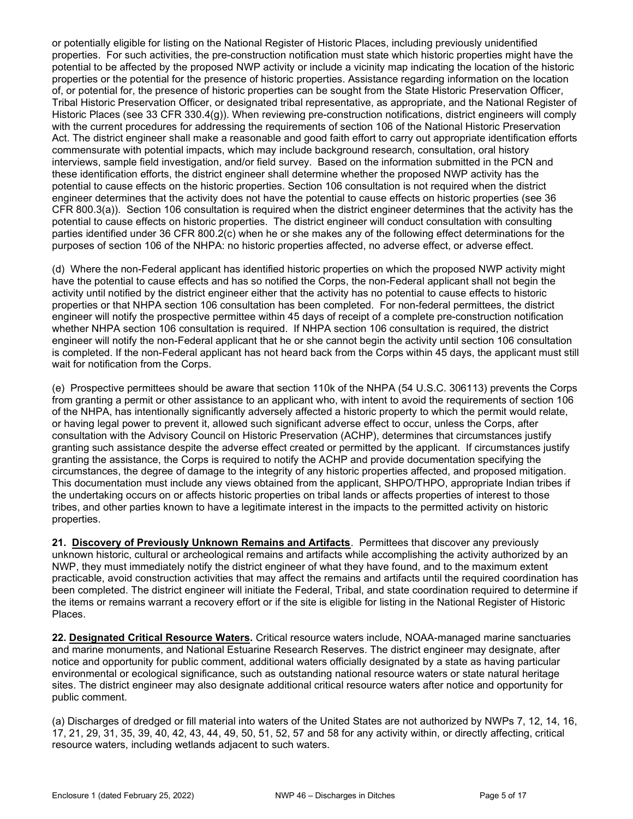or potentially eligible for listing on the National Register of Historic Places, including previously unidentified properties. For such activities, the pre-construction notification must state which historic properties might have the potential to be affected by the proposed NWP activity or include a vicinity map indicating the location of the historic properties or the potential for the presence of historic properties. Assistance regarding information on the location of, or potential for, the presence of historic properties can be sought from the State Historic Preservation Officer, Tribal Historic Preservation Officer, or designated tribal representative, as appropriate, and the National Register of Historic Places (see 33 CFR 330.4(g)). When reviewing pre-construction notifications, district engineers will comply with the current procedures for addressing the requirements of section 106 of the National Historic Preservation Act. The district engineer shall make a reasonable and good faith effort to carry out appropriate identification efforts commensurate with potential impacts, which may include background research, consultation, oral history interviews, sample field investigation, and/or field survey. Based on the information submitted in the PCN and these identification efforts, the district engineer shall determine whether the proposed NWP activity has the potential to cause effects on the historic properties. Section 106 consultation is not required when the district engineer determines that the activity does not have the potential to cause effects on historic properties (see 36 CFR 800.3(a)). Section 106 consultation is required when the district engineer determines that the activity has the potential to cause effects on historic properties. The district engineer will conduct consultation with consulting parties identified under 36 CFR 800.2(c) when he or she makes any of the following effect determinations for the purposes of section 106 of the NHPA: no historic properties affected, no adverse effect, or adverse effect.

(d) Where the non-Federal applicant has identified historic properties on which the proposed NWP activity might have the potential to cause effects and has so notified the Corps, the non-Federal applicant shall not begin the activity until notified by the district engineer either that the activity has no potential to cause effects to historic properties or that NHPA section 106 consultation has been completed. For non-federal permittees, the district engineer will notify the prospective permittee within 45 days of receipt of a complete pre-construction notification whether NHPA section 106 consultation is required. If NHPA section 106 consultation is required, the district engineer will notify the non-Federal applicant that he or she cannot begin the activity until section 106 consultation is completed. If the non-Federal applicant has not heard back from the Corps within 45 days, the applicant must still wait for notification from the Corps.

(e) Prospective permittees should be aware that section 110k of the NHPA (54 U.S.C. 306113) prevents the Corps from granting a permit or other assistance to an applicant who, with intent to avoid the requirements of section 106 of the NHPA, has intentionally significantly adversely affected a historic property to which the permit would relate, or having legal power to prevent it, allowed such significant adverse effect to occur, unless the Corps, after consultation with the Advisory Council on Historic Preservation (ACHP), determines that circumstances justify granting such assistance despite the adverse effect created or permitted by the applicant. If circumstances justify granting the assistance, the Corps is required to notify the ACHP and provide documentation specifying the circumstances, the degree of damage to the integrity of any historic properties affected, and proposed mitigation. This documentation must include any views obtained from the applicant, SHPO/THPO, appropriate Indian tribes if the undertaking occurs on or affects historic properties on tribal lands or affects properties of interest to those tribes, and other parties known to have a legitimate interest in the impacts to the permitted activity on historic properties.

21. Discovery of Previously Unknown Remains and Artifacts. Permittees that discover any previously unknown historic, cultural or archeological remains and artifacts while accomplishing the activity authorized by an NWP, they must immediately notify the district engineer of what they have found, and to the maximum extent practicable, avoid construction activities that may affect the remains and artifacts until the required coordination has been completed. The district engineer will initiate the Federal, Tribal, and state coordination required to determine if the items or remains warrant a recovery effort or if the site is eligible for listing in the National Register of Historic Places.

22. Designated Critical Resource Waters. Critical resource waters include, NOAA-managed marine sanctuaries and marine monuments, and National Estuarine Research Reserves. The district engineer may designate, after notice and opportunity for public comment, additional waters officially designated by a state as having particular environmental or ecological significance, such as outstanding national resource waters or state natural heritage sites. The district engineer may also designate additional critical resource waters after notice and opportunity for public comment.

(a) Discharges of dredged or fill material into waters of the United States are not authorized by NWPs 7, 12, 14, 16, 17, 21, 29, 31, 35, 39, 40, 42, 43, 44, 49, 50, 51, 52, 57 and 58 for any activity within, or directly affecting, critical resource waters, including wetlands adjacent to such waters.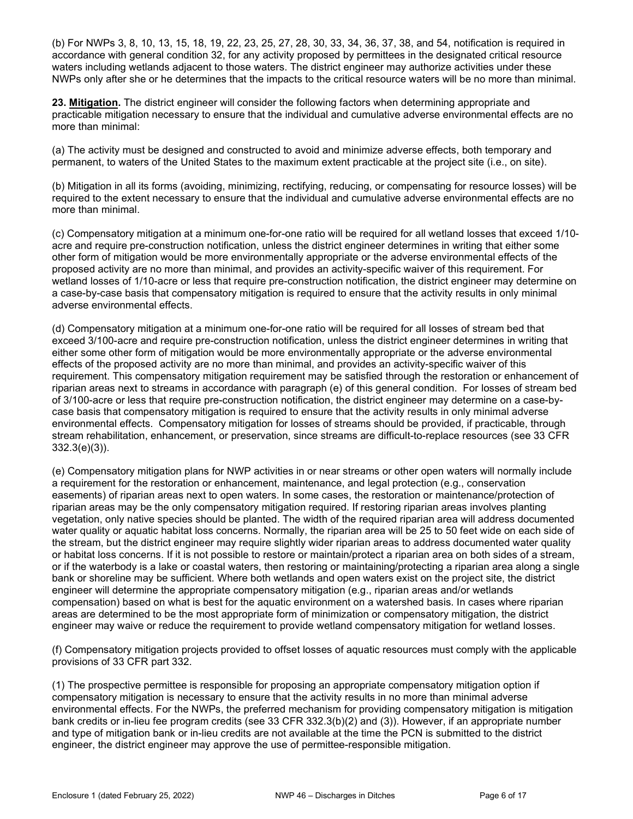(b) For NWPs 3, 8, 10, 13, 15, 18, 19, 22, 23, 25, 27, 28, 30, 33, 34, 36, 37, 38, and 54, notification is required in accordance with general condition 32, for any activity proposed by permittees in the designated critical resource waters including wetlands adjacent to those waters. The district engineer may authorize activities under these NWPs only after she or he determines that the impacts to the critical resource waters will be no more than minimal.

23. Mitigation. The district engineer will consider the following factors when determining appropriate and practicable mitigation necessary to ensure that the individual and cumulative adverse environmental effects are no more than minimal:

(a) The activity must be designed and constructed to avoid and minimize adverse effects, both temporary and permanent, to waters of the United States to the maximum extent practicable at the project site (i.e., on site).

(b) Mitigation in all its forms (avoiding, minimizing, rectifying, reducing, or compensating for resource losses) will be required to the extent necessary to ensure that the individual and cumulative adverse environmental effects are no more than minimal.

(c) Compensatory mitigation at a minimum one-for-one ratio will be required for all wetland losses that exceed 1/10 acre and require pre-construction notification, unless the district engineer determines in writing that either some other form of mitigation would be more environmentally appropriate or the adverse environmental effects of the proposed activity are no more than minimal, and provides an activity-specific waiver of this requirement. For wetland losses of 1/10-acre or less that require pre-construction notification, the district engineer may determine on a case-by-case basis that compensatory mitigation is required to ensure that the activity results in only minimal adverse environmental effects.

(d) Compensatory mitigation at a minimum one-for-one ratio will be required for all losses of stream bed that exceed 3/100-acre and require pre-construction notification, unless the district engineer determines in writing that either some other form of mitigation would be more environmentally appropriate or the adverse environmental effects of the proposed activity are no more than minimal, and provides an activity-specific waiver of this requirement. This compensatory mitigation requirement may be satisfied through the restoration or enhancement of riparian areas next to streams in accordance with paragraph (e) of this general condition. For losses of stream bed of 3/100-acre or less that require pre-construction notification, the district engineer may determine on a case-bycase basis that compensatory mitigation is required to ensure that the activity results in only minimal adverse environmental effects. Compensatory mitigation for losses of streams should be provided, if practicable, through stream rehabilitation, enhancement, or preservation, since streams are difficult-to-replace resources (see 33 CFR 332.3(e)(3)).

(e) Compensatory mitigation plans for NWP activities in or near streams or other open waters will normally include a requirement for the restoration or enhancement, maintenance, and legal protection (e.g., conservation easements) of riparian areas next to open waters. In some cases, the restoration or maintenance/protection of riparian areas may be the only compensatory mitigation required. If restoring riparian areas involves planting vegetation, only native species should be planted. The width of the required riparian area will address documented water quality or aquatic habitat loss concerns. Normally, the riparian area will be 25 to 50 feet wide on each side of the stream, but the district engineer may require slightly wider riparian areas to address documented water quality or habitat loss concerns. If it is not possible to restore or maintain/protect a riparian area on both sides of a stream, or if the waterbody is a lake or coastal waters, then restoring or maintaining/protecting a riparian area along a single bank or shoreline may be sufficient. Where both wetlands and open waters exist on the project site, the district engineer will determine the appropriate compensatory mitigation (e.g., riparian areas and/or wetlands compensation) based on what is best for the aquatic environment on a watershed basis. In cases where riparian areas are determined to be the most appropriate form of minimization or compensatory mitigation, the district engineer may waive or reduce the requirement to provide wetland compensatory mitigation for wetland losses.

(f) Compensatory mitigation projects provided to offset losses of aquatic resources must comply with the applicable provisions of 33 CFR part 332.

(1) The prospective permittee is responsible for proposing an appropriate compensatory mitigation option if compensatory mitigation is necessary to ensure that the activity results in no more than minimal adverse environmental effects. For the NWPs, the preferred mechanism for providing compensatory mitigation is mitigation bank credits or in-lieu fee program credits (see 33 CFR 332.3(b)(2) and (3)). However, if an appropriate number and type of mitigation bank or in-lieu credits are not available at the time the PCN is submitted to the district engineer, the district engineer may approve the use of permittee-responsible mitigation.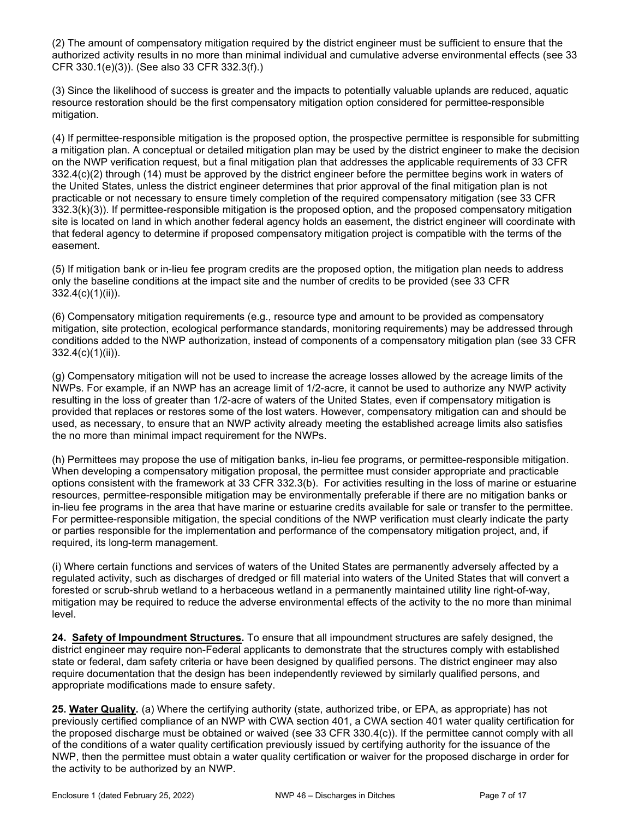(2) The amount of compensatory mitigation required by the district engineer must be sufficient to ensure that the authorized activity results in no more than minimal individual and cumulative adverse environmental effects (see 33 CFR 330.1(e)(3)). (See also 33 CFR 332.3(f).)

(3) Since the likelihood of success is greater and the impacts to potentially valuable uplands are reduced, aquatic resource restoration should be the first compensatory mitigation option considered for permittee-responsible mitigation.

(4) If permittee-responsible mitigation is the proposed option, the prospective permittee is responsible for submitting a mitigation plan. A conceptual or detailed mitigation plan may be used by the district engineer to make the decision on the NWP verification request, but a final mitigation plan that addresses the applicable requirements of 33 CFR 332.4(c)(2) through (14) must be approved by the district engineer before the permittee begins work in waters of the United States, unless the district engineer determines that prior approval of the final mitigation plan is not practicable or not necessary to ensure timely completion of the required compensatory mitigation (see 33 CFR 332.3(k)(3)). If permittee-responsible mitigation is the proposed option, and the proposed compensatory mitigation site is located on land in which another federal agency holds an easement, the district engineer will coordinate with that federal agency to determine if proposed compensatory mitigation project is compatible with the terms of the easement.

(5) If mitigation bank or in-lieu fee program credits are the proposed option, the mitigation plan needs to address only the baseline conditions at the impact site and the number of credits to be provided (see 33 CFR 332.4(c)(1)(ii)).

(6) Compensatory mitigation requirements (e.g., resource type and amount to be provided as compensatory mitigation, site protection, ecological performance standards, monitoring requirements) may be addressed through conditions added to the NWP authorization, instead of components of a compensatory mitigation plan (see 33 CFR 332.4(c)(1)(ii)).

(g) Compensatory mitigation will not be used to increase the acreage losses allowed by the acreage limits of the NWPs. For example, if an NWP has an acreage limit of 1/2-acre, it cannot be used to authorize any NWP activity resulting in the loss of greater than 1/2-acre of waters of the United States, even if compensatory mitigation is provided that replaces or restores some of the lost waters. However, compensatory mitigation can and should be used, as necessary, to ensure that an NWP activity already meeting the established acreage limits also satisfies the no more than minimal impact requirement for the NWPs.

(h) Permittees may propose the use of mitigation banks, in-lieu fee programs, or permittee-responsible mitigation. When developing a compensatory mitigation proposal, the permittee must consider appropriate and practicable options consistent with the framework at 33 CFR 332.3(b). For activities resulting in the loss of marine or estuarine resources, permittee-responsible mitigation may be environmentally preferable if there are no mitigation banks or in-lieu fee programs in the area that have marine or estuarine credits available for sale or transfer to the permittee. For permittee-responsible mitigation, the special conditions of the NWP verification must clearly indicate the party or parties responsible for the implementation and performance of the compensatory mitigation project, and, if required, its long-term management.

(i) Where certain functions and services of waters of the United States are permanently adversely affected by a regulated activity, such as discharges of dredged or fill material into waters of the United States that will convert a forested or scrub-shrub wetland to a herbaceous wetland in a permanently maintained utility line right-of-way, mitigation may be required to reduce the adverse environmental effects of the activity to the no more than minimal level.

24. Safety of Impoundment Structures. To ensure that all impoundment structures are safely designed, the district engineer may require non-Federal applicants to demonstrate that the structures comply with established state or federal, dam safety criteria or have been designed by qualified persons. The district engineer may also require documentation that the design has been independently reviewed by similarly qualified persons, and appropriate modifications made to ensure safety.

25. Water Quality. (a) Where the certifying authority (state, authorized tribe, or EPA, as appropriate) has not previously certified compliance of an NWP with CWA section 401, a CWA section 401 water quality certification for the proposed discharge must be obtained or waived (see 33 CFR 330.4(c)). If the permittee cannot comply with all of the conditions of a water quality certification previously issued by certifying authority for the issuance of the NWP, then the permittee must obtain a water quality certification or waiver for the proposed discharge in order for the activity to be authorized by an NWP.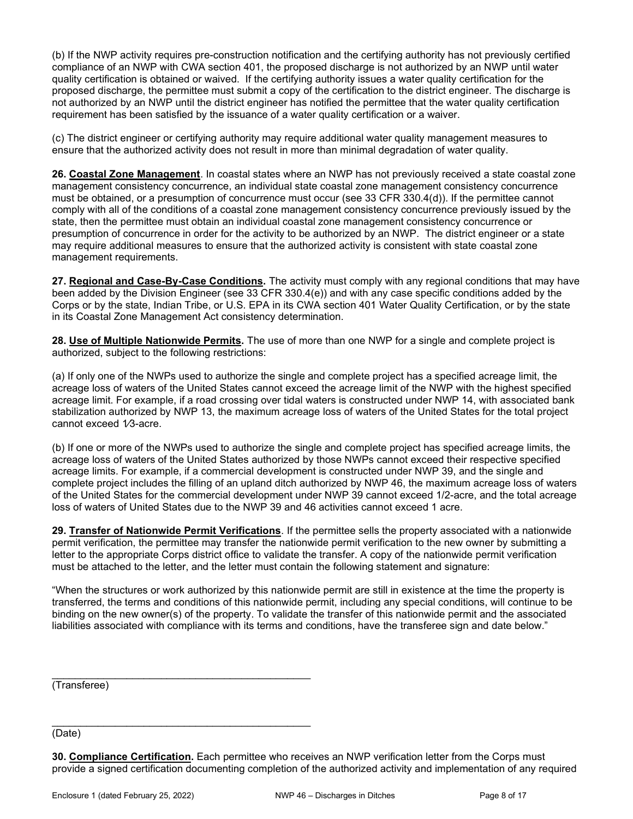(b) If the NWP activity requires pre-construction notification and the certifying authority has not previously certified compliance of an NWP with CWA section 401, the proposed discharge is not authorized by an NWP until water quality certification is obtained or waived. If the certifying authority issues a water quality certification for the proposed discharge, the permittee must submit a copy of the certification to the district engineer. The discharge is not authorized by an NWP until the district engineer has notified the permittee that the water quality certification requirement has been satisfied by the issuance of a water quality certification or a waiver.

(c) The district engineer or certifying authority may require additional water quality management measures to ensure that the authorized activity does not result in more than minimal degradation of water quality.

26. Coastal Zone Management. In coastal states where an NWP has not previously received a state coastal zone management consistency concurrence, an individual state coastal zone management consistency concurrence must be obtained, or a presumption of concurrence must occur (see 33 CFR 330.4(d)). If the permittee cannot comply with all of the conditions of a coastal zone management consistency concurrence previously issued by the state, then the permittee must obtain an individual coastal zone management consistency concurrence or presumption of concurrence in order for the activity to be authorized by an NWP. The district engineer or a state may require additional measures to ensure that the authorized activity is consistent with state coastal zone management requirements.

27. Regional and Case-By-Case Conditions. The activity must comply with any regional conditions that may have been added by the Division Engineer (see 33 CFR 330.4(e)) and with any case specific conditions added by the Corps or by the state, Indian Tribe, or U.S. EPA in its CWA section 401 Water Quality Certification, or by the state in its Coastal Zone Management Act consistency determination.

28. Use of Multiple Nationwide Permits. The use of more than one NWP for a single and complete project is authorized, subject to the following restrictions:

(a) If only one of the NWPs used to authorize the single and complete project has a specified acreage limit, the acreage loss of waters of the United States cannot exceed the acreage limit of the NWP with the highest specified acreage limit. For example, if a road crossing over tidal waters is constructed under NWP 14, with associated bank stabilization authorized by NWP 13, the maximum acreage loss of waters of the United States for the total project cannot exceed 1/3-acre.

(b) If one or more of the NWPs used to authorize the single and complete project has specified acreage limits, the acreage loss of waters of the United States authorized by those NWPs cannot exceed their respective specified acreage limits. For example, if a commercial development is constructed under NWP 39, and the single and complete project includes the filling of an upland ditch authorized by NWP 46, the maximum acreage loss of waters of the United States for the commercial development under NWP 39 cannot exceed 1/2-acre, and the total acreage loss of waters of United States due to the NWP 39 and 46 activities cannot exceed 1 acre.

29. Transfer of Nationwide Permit Verifications. If the permittee sells the property associated with a nationwide permit verification, the permittee may transfer the nationwide permit verification to the new owner by submitting a letter to the appropriate Corps district office to validate the transfer. A copy of the nationwide permit verification must be attached to the letter, and the letter must contain the following statement and signature:

"When the structures or work authorized by this nationwide permit are still in existence at the time the property is transferred, the terms and conditions of this nationwide permit, including any special conditions, will continue to be binding on the new owner(s) of the property. To validate the transfer of this nationwide permit and the associated liabilities associated with compliance with its terms and conditions, have the transferee sign and date below."

(Transferee)

(Date)

30. Compliance Certification. Each permittee who receives an NWP verification letter from the Corps must provide a signed certification documenting completion of the authorized activity and implementation of any required

\_\_\_\_\_\_\_\_\_\_\_\_\_\_\_\_\_\_\_\_\_\_\_\_\_\_\_\_\_\_\_\_\_\_\_\_\_\_\_\_\_\_\_\_\_

\_\_\_\_\_\_\_\_\_\_\_\_\_\_\_\_\_\_\_\_\_\_\_\_\_\_\_\_\_\_\_\_\_\_\_\_\_\_\_\_\_\_\_\_\_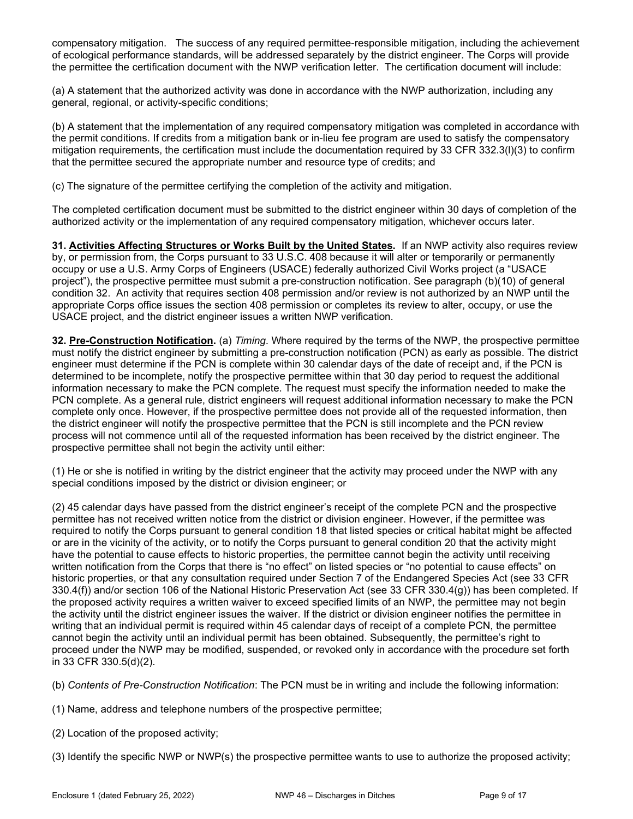compensatory mitigation. The success of any required permittee-responsible mitigation, including the achievement of ecological performance standards, will be addressed separately by the district engineer. The Corps will provide the permittee the certification document with the NWP verification letter. The certification document will include:

(a) A statement that the authorized activity was done in accordance with the NWP authorization, including any general, regional, or activity-specific conditions;

(b) A statement that the implementation of any required compensatory mitigation was completed in accordance with the permit conditions. If credits from a mitigation bank or in-lieu fee program are used to satisfy the compensatory mitigation requirements, the certification must include the documentation required by 33 CFR 332.3(l)(3) to confirm that the permittee secured the appropriate number and resource type of credits; and

(c) The signature of the permittee certifying the completion of the activity and mitigation.

The completed certification document must be submitted to the district engineer within 30 days of completion of the authorized activity or the implementation of any required compensatory mitigation, whichever occurs later.

31. Activities Affecting Structures or Works Built by the United States. If an NWP activity also requires review by, or permission from, the Corps pursuant to 33 U.S.C. 408 because it will alter or temporarily or permanently occupy or use a U.S. Army Corps of Engineers (USACE) federally authorized Civil Works project (a "USACE project"), the prospective permittee must submit a pre-construction notification. See paragraph (b)(10) of general condition 32. An activity that requires section 408 permission and/or review is not authorized by an NWP until the appropriate Corps office issues the section 408 permission or completes its review to alter, occupy, or use the USACE project, and the district engineer issues a written NWP verification.

32. Pre-Construction Notification. (a) Timing. Where required by the terms of the NWP, the prospective permittee must notify the district engineer by submitting a pre-construction notification (PCN) as early as possible. The district engineer must determine if the PCN is complete within 30 calendar days of the date of receipt and, if the PCN is determined to be incomplete, notify the prospective permittee within that 30 day period to request the additional information necessary to make the PCN complete. The request must specify the information needed to make the PCN complete. As a general rule, district engineers will request additional information necessary to make the PCN complete only once. However, if the prospective permittee does not provide all of the requested information, then the district engineer will notify the prospective permittee that the PCN is still incomplete and the PCN review process will not commence until all of the requested information has been received by the district engineer. The prospective permittee shall not begin the activity until either:

(1) He or she is notified in writing by the district engineer that the activity may proceed under the NWP with any special conditions imposed by the district or division engineer; or

(2) 45 calendar days have passed from the district engineer's receipt of the complete PCN and the prospective permittee has not received written notice from the district or division engineer. However, if the permittee was required to notify the Corps pursuant to general condition 18 that listed species or critical habitat might be affected or are in the vicinity of the activity, or to notify the Corps pursuant to general condition 20 that the activity might have the potential to cause effects to historic properties, the permittee cannot begin the activity until receiving written notification from the Corps that there is "no effect" on listed species or "no potential to cause effects" on historic properties, or that any consultation required under Section 7 of the Endangered Species Act (see 33 CFR 330.4(f)) and/or section 106 of the National Historic Preservation Act (see 33 CFR 330.4(g)) has been completed. If the proposed activity requires a written waiver to exceed specified limits of an NWP, the permittee may not begin the activity until the district engineer issues the waiver. If the district or division engineer notifies the permittee in writing that an individual permit is required within 45 calendar days of receipt of a complete PCN, the permittee cannot begin the activity until an individual permit has been obtained. Subsequently, the permittee's right to proceed under the NWP may be modified, suspended, or revoked only in accordance with the procedure set forth in 33 CFR 330.5(d)(2).

(b) Contents of Pre-Construction Notification: The PCN must be in writing and include the following information:

- (1) Name, address and telephone numbers of the prospective permittee;
- (2) Location of the proposed activity;

(3) Identify the specific NWP or NWP(s) the prospective permittee wants to use to authorize the proposed activity;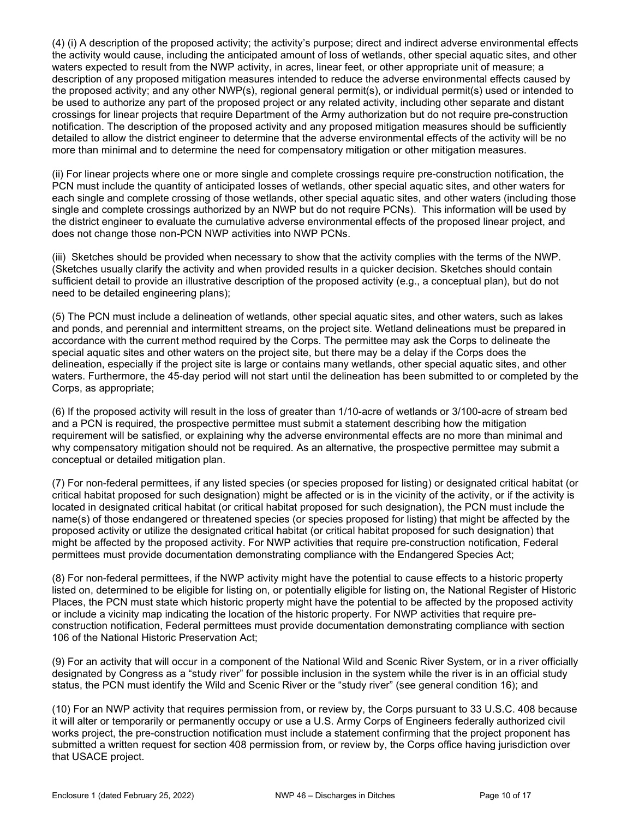(4) (i) A description of the proposed activity; the activity's purpose; direct and indirect adverse environmental effects the activity would cause, including the anticipated amount of loss of wetlands, other special aquatic sites, and other waters expected to result from the NWP activity, in acres, linear feet, or other appropriate unit of measure; a description of any proposed mitigation measures intended to reduce the adverse environmental effects caused by the proposed activity; and any other NWP(s), regional general permit(s), or individual permit(s) used or intended to be used to authorize any part of the proposed project or any related activity, including other separate and distant crossings for linear projects that require Department of the Army authorization but do not require pre-construction notification. The description of the proposed activity and any proposed mitigation measures should be sufficiently detailed to allow the district engineer to determine that the adverse environmental effects of the activity will be no more than minimal and to determine the need for compensatory mitigation or other mitigation measures.

(ii) For linear projects where one or more single and complete crossings require pre-construction notification, the PCN must include the quantity of anticipated losses of wetlands, other special aquatic sites, and other waters for each single and complete crossing of those wetlands, other special aquatic sites, and other waters (including those single and complete crossings authorized by an NWP but do not require PCNs). This information will be used by the district engineer to evaluate the cumulative adverse environmental effects of the proposed linear project, and does not change those non-PCN NWP activities into NWP PCNs.

(iii) Sketches should be provided when necessary to show that the activity complies with the terms of the NWP. (Sketches usually clarify the activity and when provided results in a quicker decision. Sketches should contain sufficient detail to provide an illustrative description of the proposed activity (e.g., a conceptual plan), but do not need to be detailed engineering plans);

(5) The PCN must include a delineation of wetlands, other special aquatic sites, and other waters, such as lakes and ponds, and perennial and intermittent streams, on the project site. Wetland delineations must be prepared in accordance with the current method required by the Corps. The permittee may ask the Corps to delineate the special aquatic sites and other waters on the project site, but there may be a delay if the Corps does the delineation, especially if the project site is large or contains many wetlands, other special aquatic sites, and other waters. Furthermore, the 45-day period will not start until the delineation has been submitted to or completed by the Corps, as appropriate;

(6) If the proposed activity will result in the loss of greater than 1/10-acre of wetlands or 3/100-acre of stream bed and a PCN is required, the prospective permittee must submit a statement describing how the mitigation requirement will be satisfied, or explaining why the adverse environmental effects are no more than minimal and why compensatory mitigation should not be required. As an alternative, the prospective permittee may submit a conceptual or detailed mitigation plan.

(7) For non-federal permittees, if any listed species (or species proposed for listing) or designated critical habitat (or critical habitat proposed for such designation) might be affected or is in the vicinity of the activity, or if the activity is located in designated critical habitat (or critical habitat proposed for such designation), the PCN must include the name(s) of those endangered or threatened species (or species proposed for listing) that might be affected by the proposed activity or utilize the designated critical habitat (or critical habitat proposed for such designation) that might be affected by the proposed activity. For NWP activities that require pre-construction notification, Federal permittees must provide documentation demonstrating compliance with the Endangered Species Act;

(8) For non-federal permittees, if the NWP activity might have the potential to cause effects to a historic property listed on, determined to be eligible for listing on, or potentially eligible for listing on, the National Register of Historic Places, the PCN must state which historic property might have the potential to be affected by the proposed activity or include a vicinity map indicating the location of the historic property. For NWP activities that require preconstruction notification, Federal permittees must provide documentation demonstrating compliance with section 106 of the National Historic Preservation Act;

(9) For an activity that will occur in a component of the National Wild and Scenic River System, or in a river officially designated by Congress as a "study river" for possible inclusion in the system while the river is in an official study status, the PCN must identify the Wild and Scenic River or the "study river" (see general condition 16); and

(10) For an NWP activity that requires permission from, or review by, the Corps pursuant to 33 U.S.C. 408 because it will alter or temporarily or permanently occupy or use a U.S. Army Corps of Engineers federally authorized civil works project, the pre-construction notification must include a statement confirming that the project proponent has submitted a written request for section 408 permission from, or review by, the Corps office having jurisdiction over that USACE project.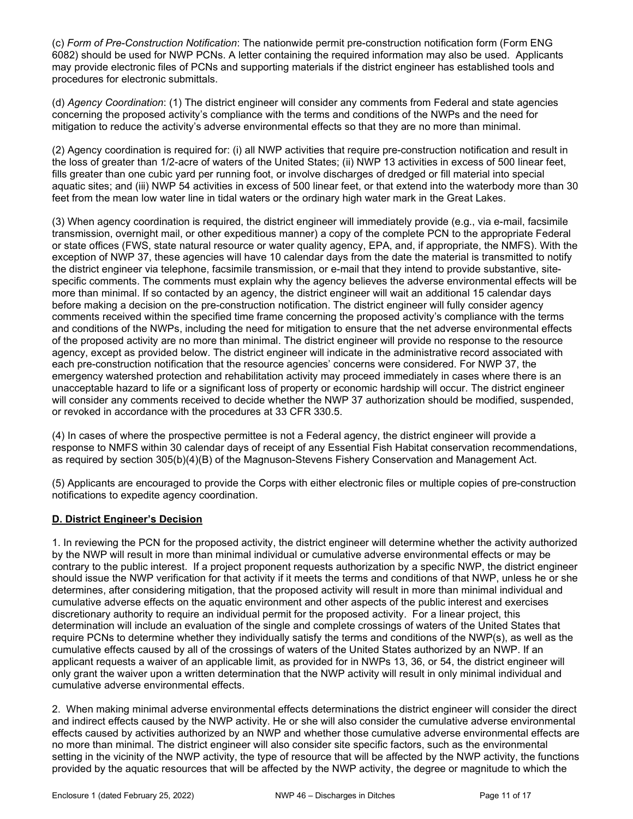(c) Form of Pre-Construction Notification: The nationwide permit pre-construction notification form (Form ENG 6082) should be used for NWP PCNs. A letter containing the required information may also be used. Applicants may provide electronic files of PCNs and supporting materials if the district engineer has established tools and procedures for electronic submittals.

(d) Agency Coordination: (1) The district engineer will consider any comments from Federal and state agencies concerning the proposed activity's compliance with the terms and conditions of the NWPs and the need for mitigation to reduce the activity's adverse environmental effects so that they are no more than minimal.

(2) Agency coordination is required for: (i) all NWP activities that require pre-construction notification and result in the loss of greater than 1/2-acre of waters of the United States; (ii) NWP 13 activities in excess of 500 linear feet, fills greater than one cubic yard per running foot, or involve discharges of dredged or fill material into special aquatic sites; and (iii) NWP 54 activities in excess of 500 linear feet, or that extend into the waterbody more than 30 feet from the mean low water line in tidal waters or the ordinary high water mark in the Great Lakes.

(3) When agency coordination is required, the district engineer will immediately provide (e.g., via e-mail, facsimile transmission, overnight mail, or other expeditious manner) a copy of the complete PCN to the appropriate Federal or state offices (FWS, state natural resource or water quality agency, EPA, and, if appropriate, the NMFS). With the exception of NWP 37, these agencies will have 10 calendar days from the date the material is transmitted to notify the district engineer via telephone, facsimile transmission, or e-mail that they intend to provide substantive, sitespecific comments. The comments must explain why the agency believes the adverse environmental effects will be more than minimal. If so contacted by an agency, the district engineer will wait an additional 15 calendar days before making a decision on the pre-construction notification. The district engineer will fully consider agency comments received within the specified time frame concerning the proposed activity's compliance with the terms and conditions of the NWPs, including the need for mitigation to ensure that the net adverse environmental effects of the proposed activity are no more than minimal. The district engineer will provide no response to the resource agency, except as provided below. The district engineer will indicate in the administrative record associated with each pre-construction notification that the resource agencies' concerns were considered. For NWP 37, the emergency watershed protection and rehabilitation activity may proceed immediately in cases where there is an unacceptable hazard to life or a significant loss of property or economic hardship will occur. The district engineer will consider any comments received to decide whether the NWP 37 authorization should be modified, suspended, or revoked in accordance with the procedures at 33 CFR 330.5.

(4) In cases of where the prospective permittee is not a Federal agency, the district engineer will provide a response to NMFS within 30 calendar days of receipt of any Essential Fish Habitat conservation recommendations, as required by section 305(b)(4)(B) of the Magnuson-Stevens Fishery Conservation and Management Act.

(5) Applicants are encouraged to provide the Corps with either electronic files or multiple copies of pre-construction notifications to expedite agency coordination.

# D. District Engineer's Decision

1. In reviewing the PCN for the proposed activity, the district engineer will determine whether the activity authorized by the NWP will result in more than minimal individual or cumulative adverse environmental effects or may be contrary to the public interest. If a project proponent requests authorization by a specific NWP, the district engineer should issue the NWP verification for that activity if it meets the terms and conditions of that NWP, unless he or she determines, after considering mitigation, that the proposed activity will result in more than minimal individual and cumulative adverse effects on the aquatic environment and other aspects of the public interest and exercises discretionary authority to require an individual permit for the proposed activity. For a linear project, this determination will include an evaluation of the single and complete crossings of waters of the United States that require PCNs to determine whether they individually satisfy the terms and conditions of the NWP(s), as well as the cumulative effects caused by all of the crossings of waters of the United States authorized by an NWP. If an applicant requests a waiver of an applicable limit, as provided for in NWPs 13, 36, or 54, the district engineer will only grant the waiver upon a written determination that the NWP activity will result in only minimal individual and cumulative adverse environmental effects.

2. When making minimal adverse environmental effects determinations the district engineer will consider the direct and indirect effects caused by the NWP activity. He or she will also consider the cumulative adverse environmental effects caused by activities authorized by an NWP and whether those cumulative adverse environmental effects are no more than minimal. The district engineer will also consider site specific factors, such as the environmental setting in the vicinity of the NWP activity, the type of resource that will be affected by the NWP activity, the functions provided by the aquatic resources that will be affected by the NWP activity, the degree or magnitude to which the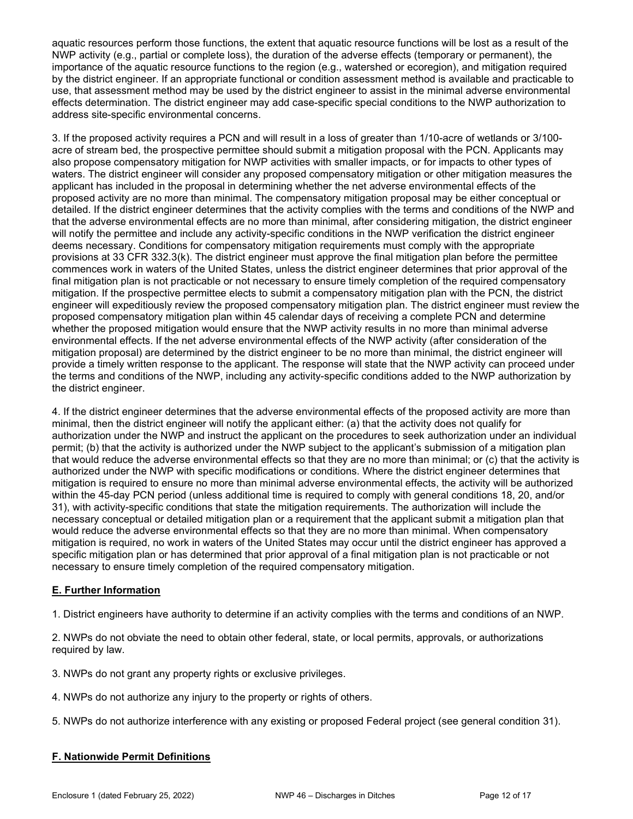aquatic resources perform those functions, the extent that aquatic resource functions will be lost as a result of the NWP activity (e.g., partial or complete loss), the duration of the adverse effects (temporary or permanent), the importance of the aquatic resource functions to the region (e.g., watershed or ecoregion), and mitigation required by the district engineer. If an appropriate functional or condition assessment method is available and practicable to use, that assessment method may be used by the district engineer to assist in the minimal adverse environmental effects determination. The district engineer may add case-specific special conditions to the NWP authorization to address site-specific environmental concerns.

3. If the proposed activity requires a PCN and will result in a loss of greater than 1/10-acre of wetlands or 3/100 acre of stream bed, the prospective permittee should submit a mitigation proposal with the PCN. Applicants may also propose compensatory mitigation for NWP activities with smaller impacts, or for impacts to other types of waters. The district engineer will consider any proposed compensatory mitigation or other mitigation measures the applicant has included in the proposal in determining whether the net adverse environmental effects of the proposed activity are no more than minimal. The compensatory mitigation proposal may be either conceptual or detailed. If the district engineer determines that the activity complies with the terms and conditions of the NWP and that the adverse environmental effects are no more than minimal, after considering mitigation, the district engineer will notify the permittee and include any activity-specific conditions in the NWP verification the district engineer deems necessary. Conditions for compensatory mitigation requirements must comply with the appropriate provisions at 33 CFR 332.3(k). The district engineer must approve the final mitigation plan before the permittee commences work in waters of the United States, unless the district engineer determines that prior approval of the final mitigation plan is not practicable or not necessary to ensure timely completion of the required compensatory mitigation. If the prospective permittee elects to submit a compensatory mitigation plan with the PCN, the district engineer will expeditiously review the proposed compensatory mitigation plan. The district engineer must review the proposed compensatory mitigation plan within 45 calendar days of receiving a complete PCN and determine whether the proposed mitigation would ensure that the NWP activity results in no more than minimal adverse environmental effects. If the net adverse environmental effects of the NWP activity (after consideration of the mitigation proposal) are determined by the district engineer to be no more than minimal, the district engineer will provide a timely written response to the applicant. The response will state that the NWP activity can proceed under the terms and conditions of the NWP, including any activity-specific conditions added to the NWP authorization by the district engineer.

4. If the district engineer determines that the adverse environmental effects of the proposed activity are more than minimal, then the district engineer will notify the applicant either: (a) that the activity does not qualify for authorization under the NWP and instruct the applicant on the procedures to seek authorization under an individual permit; (b) that the activity is authorized under the NWP subject to the applicant's submission of a mitigation plan that would reduce the adverse environmental effects so that they are no more than minimal; or (c) that the activity is authorized under the NWP with specific modifications or conditions. Where the district engineer determines that mitigation is required to ensure no more than minimal adverse environmental effects, the activity will be authorized within the 45-day PCN period (unless additional time is required to comply with general conditions 18, 20, and/or 31), with activity-specific conditions that state the mitigation requirements. The authorization will include the necessary conceptual or detailed mitigation plan or a requirement that the applicant submit a mitigation plan that would reduce the adverse environmental effects so that they are no more than minimal. When compensatory mitigation is required, no work in waters of the United States may occur until the district engineer has approved a specific mitigation plan or has determined that prior approval of a final mitigation plan is not practicable or not necessary to ensure timely completion of the required compensatory mitigation.

# E. Further Information

1. District engineers have authority to determine if an activity complies with the terms and conditions of an NWP.

2. NWPs do not obviate the need to obtain other federal, state, or local permits, approvals, or authorizations required by law.

3. NWPs do not grant any property rights or exclusive privileges.

- 4. NWPs do not authorize any injury to the property or rights of others.
- 5. NWPs do not authorize interference with any existing or proposed Federal project (see general condition 31).

# F. Nationwide Permit Definitions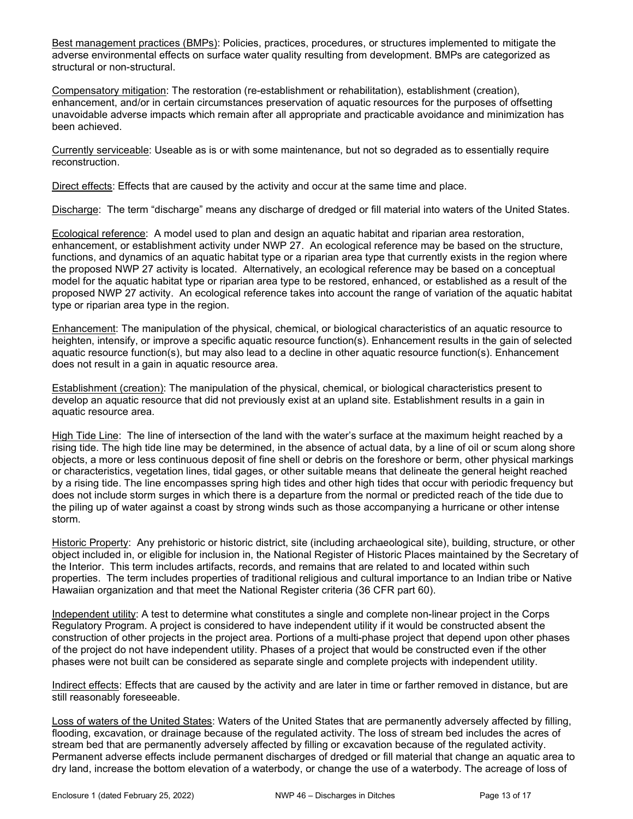Best management practices (BMPs): Policies, practices, procedures, or structures implemented to mitigate the adverse environmental effects on surface water quality resulting from development. BMPs are categorized as structural or non-structural.

Compensatory mitigation: The restoration (re-establishment or rehabilitation), establishment (creation), enhancement, and/or in certain circumstances preservation of aquatic resources for the purposes of offsetting unavoidable adverse impacts which remain after all appropriate and practicable avoidance and minimization has been achieved.

Currently serviceable: Useable as is or with some maintenance, but not so degraded as to essentially require reconstruction.

Direct effects: Effects that are caused by the activity and occur at the same time and place.

Discharge: The term "discharge" means any discharge of dredged or fill material into waters of the United States.

Ecological reference: A model used to plan and design an aquatic habitat and riparian area restoration, enhancement, or establishment activity under NWP 27. An ecological reference may be based on the structure, functions, and dynamics of an aquatic habitat type or a riparian area type that currently exists in the region where the proposed NWP 27 activity is located. Alternatively, an ecological reference may be based on a conceptual model for the aquatic habitat type or riparian area type to be restored, enhanced, or established as a result of the proposed NWP 27 activity. An ecological reference takes into account the range of variation of the aquatic habitat type or riparian area type in the region.

Enhancement: The manipulation of the physical, chemical, or biological characteristics of an aquatic resource to heighten, intensify, or improve a specific aquatic resource function(s). Enhancement results in the gain of selected aquatic resource function(s), but may also lead to a decline in other aquatic resource function(s). Enhancement does not result in a gain in aquatic resource area.

Establishment (creation): The manipulation of the physical, chemical, or biological characteristics present to develop an aquatic resource that did not previously exist at an upland site. Establishment results in a gain in aquatic resource area.

High Tide Line: The line of intersection of the land with the water's surface at the maximum height reached by a rising tide. The high tide line may be determined, in the absence of actual data, by a line of oil or scum along shore objects, a more or less continuous deposit of fine shell or debris on the foreshore or berm, other physical markings or characteristics, vegetation lines, tidal gages, or other suitable means that delineate the general height reached by a rising tide. The line encompasses spring high tides and other high tides that occur with periodic frequency but does not include storm surges in which there is a departure from the normal or predicted reach of the tide due to the piling up of water against a coast by strong winds such as those accompanying a hurricane or other intense storm.

Historic Property: Any prehistoric or historic district, site (including archaeological site), building, structure, or other object included in, or eligible for inclusion in, the National Register of Historic Places maintained by the Secretary of the Interior. This term includes artifacts, records, and remains that are related to and located within such properties. The term includes properties of traditional religious and cultural importance to an Indian tribe or Native Hawaiian organization and that meet the National Register criteria (36 CFR part 60).

Independent utility: A test to determine what constitutes a single and complete non-linear project in the Corps Regulatory Program. A project is considered to have independent utility if it would be constructed absent the construction of other projects in the project area. Portions of a multi-phase project that depend upon other phases of the project do not have independent utility. Phases of a project that would be constructed even if the other phases were not built can be considered as separate single and complete projects with independent utility.

Indirect effects: Effects that are caused by the activity and are later in time or farther removed in distance, but are still reasonably foreseeable.

Loss of waters of the United States: Waters of the United States that are permanently adversely affected by filling, flooding, excavation, or drainage because of the regulated activity. The loss of stream bed includes the acres of stream bed that are permanently adversely affected by filling or excavation because of the regulated activity. Permanent adverse effects include permanent discharges of dredged or fill material that change an aquatic area to dry land, increase the bottom elevation of a waterbody, or change the use of a waterbody. The acreage of loss of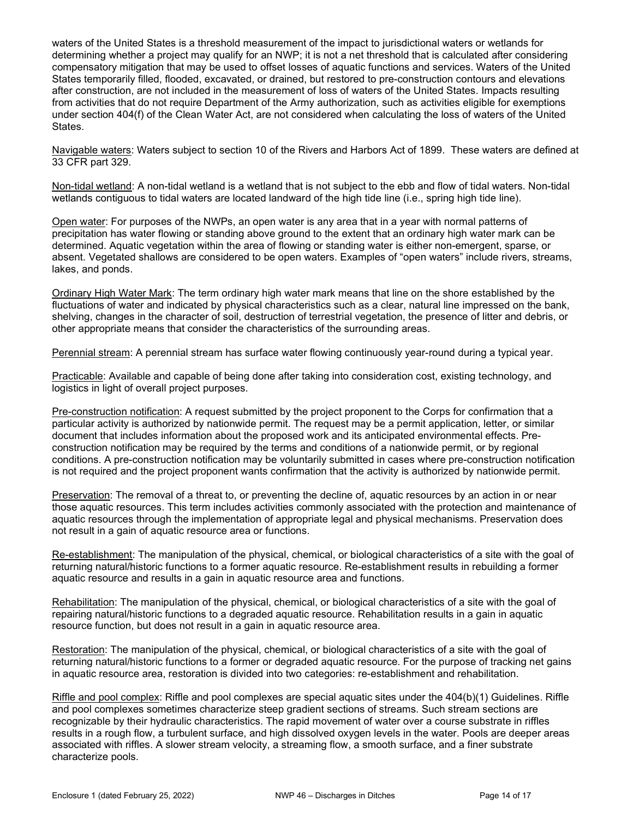waters of the United States is a threshold measurement of the impact to jurisdictional waters or wetlands for determining whether a project may qualify for an NWP; it is not a net threshold that is calculated after considering compensatory mitigation that may be used to offset losses of aquatic functions and services. Waters of the United States temporarily filled, flooded, excavated, or drained, but restored to pre-construction contours and elevations after construction, are not included in the measurement of loss of waters of the United States. Impacts resulting from activities that do not require Department of the Army authorization, such as activities eligible for exemptions under section 404(f) of the Clean Water Act, are not considered when calculating the loss of waters of the United States.

Navigable waters: Waters subject to section 10 of the Rivers and Harbors Act of 1899. These waters are defined at 33 CFR part 329.

Non-tidal wetland: A non-tidal wetland is a wetland that is not subject to the ebb and flow of tidal waters. Non-tidal wetlands contiguous to tidal waters are located landward of the high tide line (i.e., spring high tide line).

Open water: For purposes of the NWPs, an open water is any area that in a year with normal patterns of precipitation has water flowing or standing above ground to the extent that an ordinary high water mark can be determined. Aquatic vegetation within the area of flowing or standing water is either non-emergent, sparse, or absent. Vegetated shallows are considered to be open waters. Examples of "open waters" include rivers, streams, lakes, and ponds.

Ordinary High Water Mark: The term ordinary high water mark means that line on the shore established by the fluctuations of water and indicated by physical characteristics such as a clear, natural line impressed on the bank, shelving, changes in the character of soil, destruction of terrestrial vegetation, the presence of litter and debris, or other appropriate means that consider the characteristics of the surrounding areas.

Perennial stream: A perennial stream has surface water flowing continuously year-round during a typical year.

Practicable: Available and capable of being done after taking into consideration cost, existing technology, and logistics in light of overall project purposes.

Pre-construction notification: A request submitted by the project proponent to the Corps for confirmation that a particular activity is authorized by nationwide permit. The request may be a permit application, letter, or similar document that includes information about the proposed work and its anticipated environmental effects. Preconstruction notification may be required by the terms and conditions of a nationwide permit, or by regional conditions. A pre-construction notification may be voluntarily submitted in cases where pre-construction notification is not required and the project proponent wants confirmation that the activity is authorized by nationwide permit.

Preservation: The removal of a threat to, or preventing the decline of, aquatic resources by an action in or near those aquatic resources. This term includes activities commonly associated with the protection and maintenance of aquatic resources through the implementation of appropriate legal and physical mechanisms. Preservation does not result in a gain of aquatic resource area or functions.

Re-establishment: The manipulation of the physical, chemical, or biological characteristics of a site with the goal of returning natural/historic functions to a former aquatic resource. Re-establishment results in rebuilding a former aquatic resource and results in a gain in aquatic resource area and functions.

Rehabilitation: The manipulation of the physical, chemical, or biological characteristics of a site with the goal of repairing natural/historic functions to a degraded aquatic resource. Rehabilitation results in a gain in aquatic resource function, but does not result in a gain in aquatic resource area.

Restoration: The manipulation of the physical, chemical, or biological characteristics of a site with the goal of returning natural/historic functions to a former or degraded aquatic resource. For the purpose of tracking net gains in aquatic resource area, restoration is divided into two categories: re-establishment and rehabilitation.

Riffle and pool complex: Riffle and pool complexes are special aquatic sites under the 404(b)(1) Guidelines. Riffle and pool complexes sometimes characterize steep gradient sections of streams. Such stream sections are recognizable by their hydraulic characteristics. The rapid movement of water over a course substrate in riffles results in a rough flow, a turbulent surface, and high dissolved oxygen levels in the water. Pools are deeper areas associated with riffles. A slower stream velocity, a streaming flow, a smooth surface, and a finer substrate characterize pools.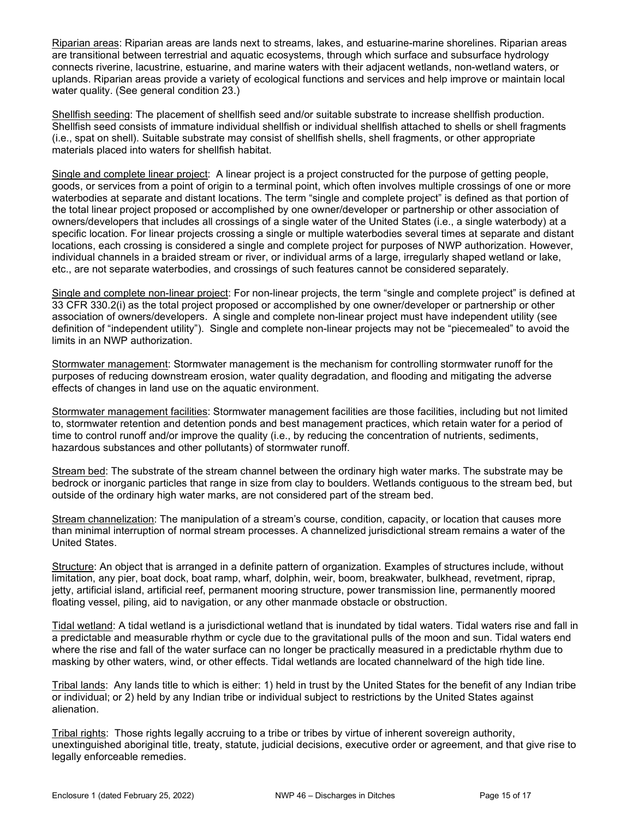Riparian areas: Riparian areas are lands next to streams, lakes, and estuarine-marine shorelines. Riparian areas are transitional between terrestrial and aquatic ecosystems, through which surface and subsurface hydrology connects riverine, lacustrine, estuarine, and marine waters with their adjacent wetlands, non-wetland waters, or uplands. Riparian areas provide a variety of ecological functions and services and help improve or maintain local water quality. (See general condition 23.)

Shellfish seeding: The placement of shellfish seed and/or suitable substrate to increase shellfish production. Shellfish seed consists of immature individual shellfish or individual shellfish attached to shells or shell fragments (i.e., spat on shell). Suitable substrate may consist of shellfish shells, shell fragments, or other appropriate materials placed into waters for shellfish habitat.

Single and complete linear project: A linear project is a project constructed for the purpose of getting people, goods, or services from a point of origin to a terminal point, which often involves multiple crossings of one or more waterbodies at separate and distant locations. The term "single and complete project" is defined as that portion of the total linear project proposed or accomplished by one owner/developer or partnership or other association of owners/developers that includes all crossings of a single water of the United States (i.e., a single waterbody) at a specific location. For linear projects crossing a single or multiple waterbodies several times at separate and distant locations, each crossing is considered a single and complete project for purposes of NWP authorization. However, individual channels in a braided stream or river, or individual arms of a large, irregularly shaped wetland or lake, etc., are not separate waterbodies, and crossings of such features cannot be considered separately.

Single and complete non-linear project: For non-linear projects, the term "single and complete project" is defined at 33 CFR 330.2(i) as the total project proposed or accomplished by one owner/developer or partnership or other association of owners/developers. A single and complete non-linear project must have independent utility (see definition of "independent utility"). Single and complete non-linear projects may not be "piecemealed" to avoid the limits in an NWP authorization.

Stormwater management: Stormwater management is the mechanism for controlling stormwater runoff for the purposes of reducing downstream erosion, water quality degradation, and flooding and mitigating the adverse effects of changes in land use on the aquatic environment.

Stormwater management facilities: Stormwater management facilities are those facilities, including but not limited to, stormwater retention and detention ponds and best management practices, which retain water for a period of time to control runoff and/or improve the quality (i.e., by reducing the concentration of nutrients, sediments, hazardous substances and other pollutants) of stormwater runoff.

Stream bed: The substrate of the stream channel between the ordinary high water marks. The substrate may be bedrock or inorganic particles that range in size from clay to boulders. Wetlands contiguous to the stream bed, but outside of the ordinary high water marks, are not considered part of the stream bed.

Stream channelization: The manipulation of a stream's course, condition, capacity, or location that causes more than minimal interruption of normal stream processes. A channelized jurisdictional stream remains a water of the United States.

Structure: An object that is arranged in a definite pattern of organization. Examples of structures include, without limitation, any pier, boat dock, boat ramp, wharf, dolphin, weir, boom, breakwater, bulkhead, revetment, riprap, jetty, artificial island, artificial reef, permanent mooring structure, power transmission line, permanently moored floating vessel, piling, aid to navigation, or any other manmade obstacle or obstruction.

Tidal wetland: A tidal wetland is a jurisdictional wetland that is inundated by tidal waters. Tidal waters rise and fall in a predictable and measurable rhythm or cycle due to the gravitational pulls of the moon and sun. Tidal waters end where the rise and fall of the water surface can no longer be practically measured in a predictable rhythm due to masking by other waters, wind, or other effects. Tidal wetlands are located channelward of the high tide line.

Tribal lands: Any lands title to which is either: 1) held in trust by the United States for the benefit of any Indian tribe or individual; or 2) held by any Indian tribe or individual subject to restrictions by the United States against alienation.

Tribal rights: Those rights legally accruing to a tribe or tribes by virtue of inherent sovereign authority, unextinguished aboriginal title, treaty, statute, judicial decisions, executive order or agreement, and that give rise to legally enforceable remedies.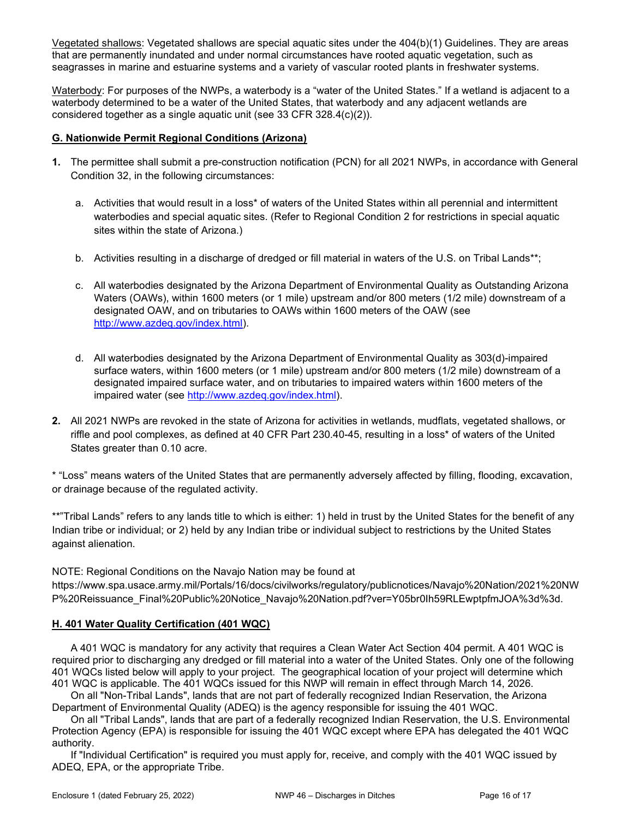Vegetated shallows: Vegetated shallows are special aquatic sites under the 404(b)(1) Guidelines. They are areas that are permanently inundated and under normal circumstances have rooted aquatic vegetation, such as seagrasses in marine and estuarine systems and a variety of vascular rooted plants in freshwater systems.

Waterbody: For purposes of the NWPs, a waterbody is a "water of the United States." If a wetland is adjacent to a waterbody determined to be a water of the United States, that waterbody and any adjacent wetlands are considered together as a single aquatic unit (see 33 CFR 328.4(c)(2)).

#### G. Nationwide Permit Regional Conditions (Arizona)

- 1. The permittee shall submit a pre-construction notification (PCN) for all 2021 NWPs, in accordance with General Condition 32, in the following circumstances:
	- a. Activities that would result in a loss\* of waters of the United States within all perennial and intermittent waterbodies and special aquatic sites. (Refer to Regional Condition 2 for restrictions in special aquatic sites within the state of Arizona.)
	- b. Activities resulting in a discharge of dredged or fill material in waters of the U.S. on Tribal Lands\*\*;
	- c. All waterbodies designated by the Arizona Department of Environmental Quality as Outstanding Arizona Waters (OAWs), within 1600 meters (or 1 mile) upstream and/or 800 meters (1/2 mile) downstream of a designated OAW, and on tributaries to OAWs within 1600 meters of the OAW (see http://www.azdeq.gov/index.html).
	- d. All waterbodies designated by the Arizona Department of Environmental Quality as 303(d)-impaired surface waters, within 1600 meters (or 1 mile) upstream and/or 800 meters (1/2 mile) downstream of a designated impaired surface water, and on tributaries to impaired waters within 1600 meters of the impaired water (see http://www.azdeq.gov/index.html).
- 2. All 2021 NWPs are revoked in the state of Arizona for activities in wetlands, mudflats, vegetated shallows, or riffle and pool complexes, as defined at 40 CFR Part 230.40-45, resulting in a loss\* of waters of the United States greater than 0.10 acre.

\* "Loss" means waters of the United States that are permanently adversely affected by filling, flooding, excavation, or drainage because of the regulated activity.

\*\*"Tribal Lands" refers to any lands title to which is either: 1) held in trust by the United States for the benefit of any Indian tribe or individual; or 2) held by any Indian tribe or individual subject to restrictions by the United States against alienation.

NOTE: Regional Conditions on the Navajo Nation may be found at

https://www.spa.usace.army.mil/Portals/16/docs/civilworks/regulatory/publicnotices/Navajo%20Nation/2021%20NW P%20Reissuance\_Final%20Public%20Notice\_Navajo%20Nation.pdf?ver=Y05br0Ih59RLEwptpfmJOA%3d%3d.

#### H. 401 Water Quality Certification (401 WQC)

 A 401 WQC is mandatory for any activity that requires a Clean Water Act Section 404 permit. A 401 WQC is required prior to discharging any dredged or fill material into a water of the United States. Only one of the following 401 WQCs listed below will apply to your project. The geographical location of your project will determine which 401 WQC is applicable. The 401 WQCs issued for this NWP will remain in effect through March 14, 2026.

 On all "Non-Tribal Lands", lands that are not part of federally recognized Indian Reservation, the Arizona Department of Environmental Quality (ADEQ) is the agency responsible for issuing the 401 WQC.

 On all "Tribal Lands", lands that are part of a federally recognized Indian Reservation, the U.S. Environmental Protection Agency (EPA) is responsible for issuing the 401 WQC except where EPA has delegated the 401 WQC authority.

 If "Individual Certification" is required you must apply for, receive, and comply with the 401 WQC issued by ADEQ, EPA, or the appropriate Tribe.